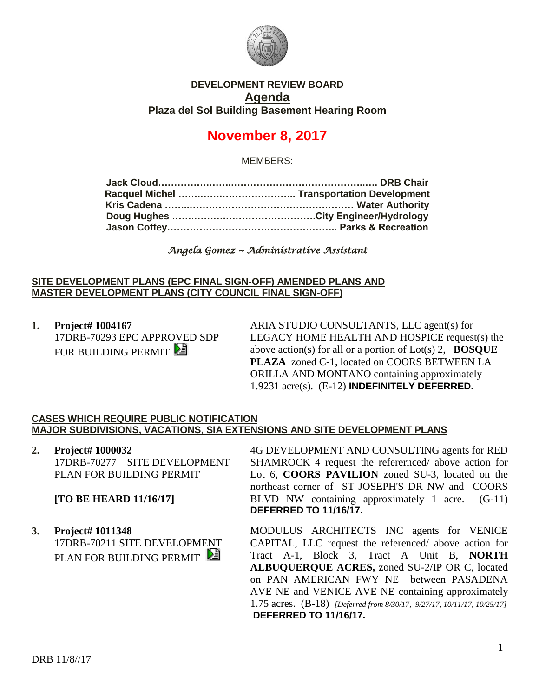

# **DEVELOPMENT REVIEW BOARD Agenda Plaza del Sol Building Basement Hearing Room**

# **November 8, 2017**

MEMBERS:

*Angela Gomez ~ Administrative Assistant* 

#### **SITE DEVELOPMENT PLANS (EPC FINAL SIGN-OFF) AMENDED PLANS AND MASTER DEVELOPMENT PLANS (CITY COUNCIL FINAL SIGN-OFF)**

**1. Project# 1004167** 17DRB-70293 EPC APPROVED SDP FOR BUILDING PERMIT

ARIA STUDIO CONSULTANTS, LLC agent(s) for LEGACY HOME HEALTH AND HOSPICE request(s) the above action(s) for all or a portion of Lot(s) 2, **BOSQUE PLAZA** zoned C-1, located on COORS BETWEEN LA ORILLA AND MONTANO containing approximately 1.9231 acre(s). (E-12) **INDEFINITELY DEFERRED.**

## **CASES WHICH REQUIRE PUBLIC NOTIFICATION MAJOR SUBDIVISIONS, VACATIONS, SIA EXTENSIONS AND SITE DEVELOPMENT PLANS**

**2. Project# 1000032** 17DRB-70277 – SITE DEVELOPMENT PLAN FOR BUILDING PERMIT

**[TO BE HEARD 11/16/17]**

**3. Project# 1011348** 17DRB-70211 SITE DEVELOPMENT PLAN FOR BUILDING PERMIT

4G DEVELOPMENT AND CONSULTING agents for RED SHAMROCK 4 request the referernced/ above action for Lot 6, **COORS PAVILION** zoned SU-3, located on the northeast corner of ST JOSEPH'S DR NW and COORS BLVD NW containing approximately 1 acre. (G-11) **DEFERRED TO 11/16/17.**

MODULUS ARCHITECTS INC agents for VENICE CAPITAL, LLC request the referenced/ above action for Tract A-1, Block 3, Tract A Unit B, **NORTH ALBUQUERQUE ACRES,** zoned SU-2/IP OR C, located on PAN AMERICAN FWY NE between PASADENA AVE NE and VENICE AVE NE containing approximately 1.75 acres. (B-18) *[Deferred from 8/30/17, 9/27/17, 10/11/17, 10/25/17]* **DEFERRED TO 11/16/17.**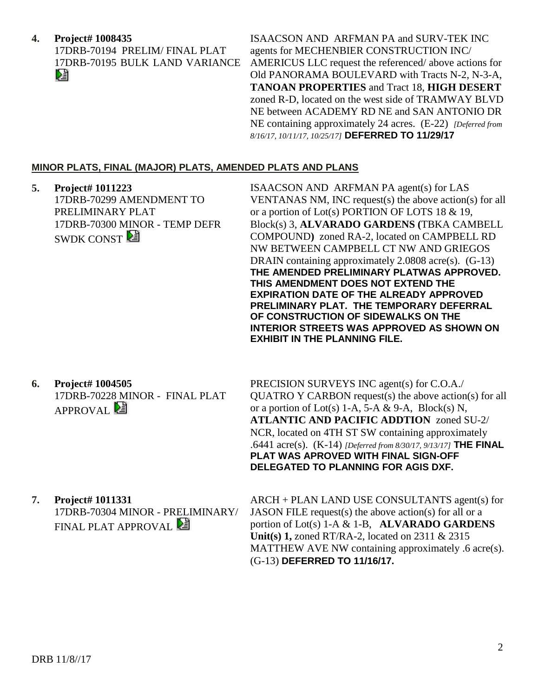## **4. Project# 1008435**

17DRB-70194 PRELIM/ FINAL PLAT 17DRB-70195 BULK LAND VARIANCE DJ

ISAACSON AND ARFMAN PA and SURV-TEK INC agents for MECHENBIER CONSTRUCTION INC/ AMERICUS LLC request the referenced/ above actions for Old PANORAMA BOULEVARD with Tracts N-2, N-3-A, **TANOAN PROPERTIES** and Tract 18, **HIGH DESERT** zoned R-D, located on the west side of TRAMWAY BLVD NE between ACADEMY RD NE and SAN ANTONIO DR NE containing approximately 24 acres. (E-22) *[Deferred from 8/16/17, 10/11/17, 10/25/17]* **DEFERRED TO 11/29/17**

## **MINOR PLATS, FINAL (MAJOR) PLATS, AMENDED PLATS AND PLANS**

**5. Project# 1011223** 17DRB-70299 AMENDMENT TO PRELIMINARY PLAT 17DRB-70300 MINOR - TEMP DEFR SWDK CONST<sup>2</sup> ISAACSON AND ARFMAN PA agent(s) for LAS VENTANAS NM, INC request(s) the above action(s) for all or a portion of Lot(s) PORTION OF LOTS 18 & 19, Block(s) 3, **ALVARADO GARDENS (**TBKA CAMBELL COMPOUND**)** zoned RA-2, located on CAMPBELL RD NW BETWEEN CAMPBELL CT NW AND GRIEGOS DRAIN containing approximately 2.0808 acre(s). (G-13) **THE AMENDED PRELIMINARY PLATWAS APPROVED. THIS AMENDMENT DOES NOT EXTEND THE EXPIRATION DATE OF THE ALREADY APPROVED PRELIMINARY PLAT. THE TEMPORARY DEFERRAL OF CONSTRUCTION OF SIDEWALKS ON THE INTERIOR STREETS WAS APPROVED AS SHOWN ON EXHIBIT IN THE PLANNING FILE. 6. Project# 1004505** 17DRB-70228 MINOR - FINAL PLAT APPROVAL<sup>2</sup> PRECISION SURVEYS INC agent(s) for C.O.A./ QUATRO Y CARBON request(s) the above action(s) for all or a portion of Lot(s) 1-A, 5-A & 9-A, Block(s) N, **ATLANTIC AND PACIFIC ADDTION** zoned SU-2/ NCR, located on 4TH ST SW containing approximately .6441 acre(s). (K-14) *[Deferred from 8/30/17, 9/13/17]* **THE FINAL PLAT WAS APROVED WITH FINAL SIGN-OFF DELEGATED TO PLANNING FOR AGIS DXF. 7. Project# 1011331** 17DRB-70304 MINOR - PRELIMINARY/ ARCH + PLAN LAND USE CONSULTANTS agent(s) for

FINAL PLAT APPROVAL **E** 

JASON FILE request(s) the above action(s) for all or a portion of Lot(s) 1-A & 1-B, **ALVARADO GARDENS Unit(s) 1,** zoned RT/RA-2, located on 2311 & 2315 MATTHEW AVE NW containing approximately .6 acre(s). (G-13) **DEFERRED TO 11/16/17.**